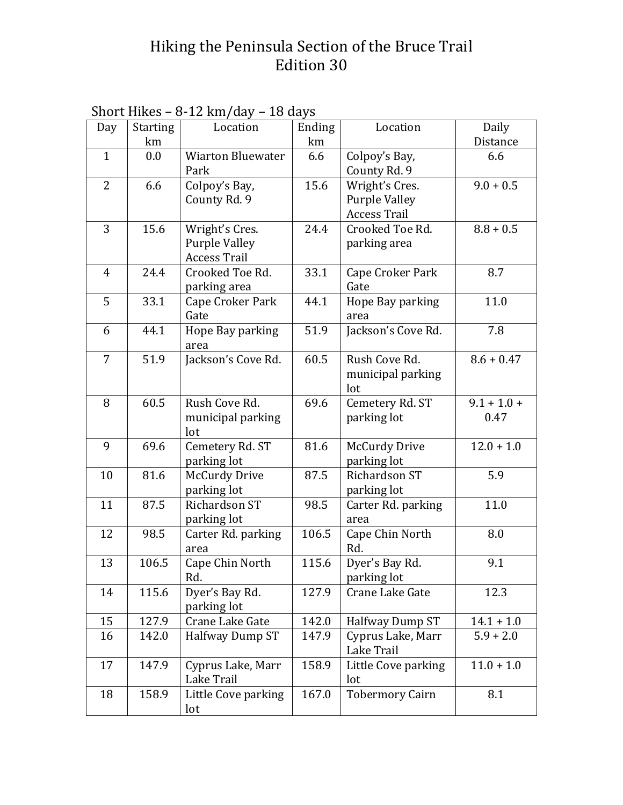## Hiking the Peninsula Section of the Bruce Trail Edition 30

|                | onor e mueo     | $\sigma$ 14 $\mu$ $\mu$ $\sigma$ | 10 uu y J |                        |               |
|----------------|-----------------|----------------------------------|-----------|------------------------|---------------|
| Day            | <b>Starting</b> | Location                         | Ending    | Location               | Daily         |
|                | km              |                                  | km        |                        | Distance      |
| $\mathbf{1}$   | 0.0             | <b>Wiarton Bluewater</b>         | 6.6       | Colpoy's Bay,          | 6.6           |
|                |                 | Park                             |           | County Rd. 9           |               |
| $\overline{2}$ | 6.6             | Colpoy's Bay,                    | 15.6      | Wright's Cres.         | $9.0 + 0.5$   |
|                |                 | County Rd. 9                     |           | <b>Purple Valley</b>   |               |
|                |                 |                                  |           | <b>Access Trail</b>    |               |
| 3              | 15.6            | Wright's Cres.                   | 24.4      | Crooked Toe Rd.        | $8.8 + 0.5$   |
|                |                 | <b>Purple Valley</b>             |           | parking area           |               |
|                |                 | <b>Access Trail</b>              |           |                        |               |
| $\overline{4}$ | 24.4            | Crooked Toe Rd.                  | 33.1      | Cape Croker Park       | 8.7           |
|                |                 | parking area                     |           | Gate                   |               |
| 5              | 33.1            | Cape Croker Park                 | 44.1      | Hope Bay parking       | 11.0          |
|                |                 | Gate                             |           | area                   |               |
| 6              | 44.1            | Hope Bay parking                 | 51.9      | Jackson's Cove Rd.     | 7.8           |
|                |                 | area                             |           |                        |               |
| $\overline{7}$ | 51.9            | Jackson's Cove Rd.               | 60.5      | Rush Cove Rd.          | $8.6 + 0.47$  |
|                |                 |                                  |           |                        |               |
|                |                 |                                  |           | municipal parking      |               |
|                |                 |                                  |           | lot                    |               |
| 8              | 60.5            | Rush Cove Rd.                    | 69.6      | Cemetery Rd. ST        | $9.1 + 1.0 +$ |
|                |                 | municipal parking                |           | parking lot            | 0.47          |
|                |                 | lot                              |           |                        |               |
| 9              | 69.6            | Cemetery Rd. ST                  | 81.6      | <b>McCurdy Drive</b>   | $12.0 + 1.0$  |
|                |                 | parking lot                      |           | parking lot            |               |
| 10             | 81.6            | <b>McCurdy Drive</b>             | 87.5      | Richardson ST          | 5.9           |
|                |                 | parking lot                      |           | parking lot            |               |
| 11             | 87.5            | Richardson ST                    | 98.5      | Carter Rd. parking     | 11.0          |
|                |                 | parking lot                      |           | area                   |               |
| 12             | 98.5            | Carter Rd. parking               | 106.5     | Cape Chin North        | 8.0           |
|                |                 | area                             |           | Rd.                    |               |
| 13             | 106.5           | Cape Chin North                  | 115.6     | Dyer's Bay Rd.         | 9.1           |
|                |                 | Rd.                              |           | parking lot            |               |
| 14             | 115.6           | Dyer's Bay Rd.                   | 127.9     | Crane Lake Gate        | 12.3          |
|                |                 | parking lot                      |           |                        |               |
| 15             | 127.9           | Crane Lake Gate                  | 142.0     | Halfway Dump ST        | $14.1 + 1.0$  |
| 16             | 142.0           | Halfway Dump ST                  | 147.9     | Cyprus Lake, Marr      | $5.9 + 2.0$   |
|                |                 |                                  |           | Lake Trail             |               |
|                |                 |                                  |           |                        |               |
| 17             | 147.9           | Cyprus Lake, Marr                | 158.9     | Little Cove parking    | $11.0 + 1.0$  |
|                |                 | Lake Trail                       |           | lot                    |               |
| 18             | 158.9           | Little Cove parking              | 167.0     | <b>Tobermory Cairn</b> | 8.1           |
|                |                 | lot                              |           |                        |               |

| Short Hikes – 8-12 km/day – 18 days |  |  |
|-------------------------------------|--|--|
|-------------------------------------|--|--|